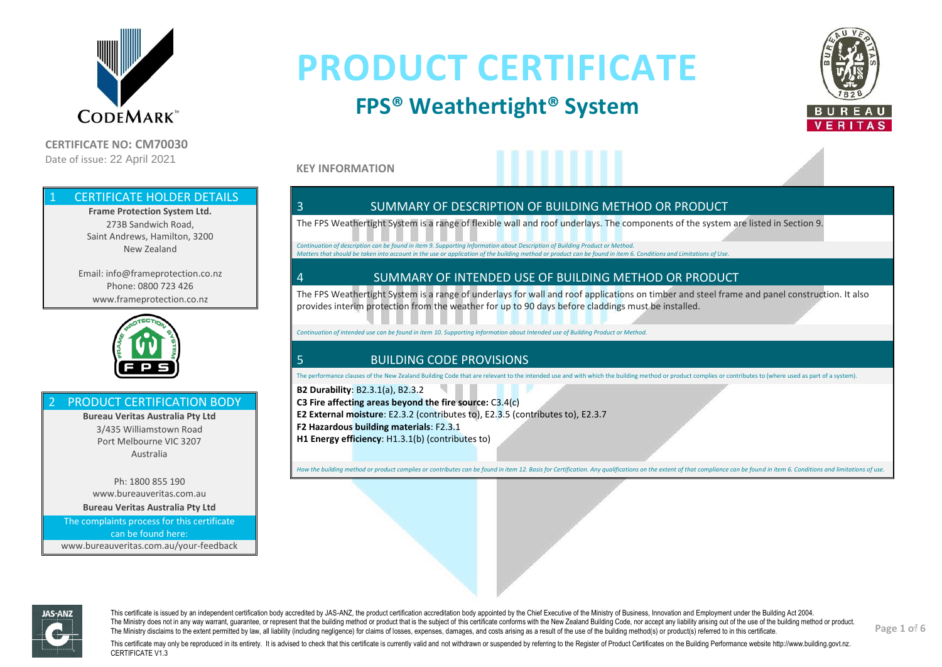

**CERTIFICATE NO: CM70030** Date of issue: 22 April 2021

# **PRODUCT CERTIFICATE**

### **FPS® Weathertight® System**



**KEY INFORMATION**

#### **CERTIFICATE HOLDER DETAILS**

**Frame Protection System Ltd.** 273B Sandwich Road, Saint Andrews, Hamilton, 3200 New Zealand

Email: info@frameprotection.co.nz Phone: 0800 723 426 www.frameprotection.co.nz



#### PRODUCT CERTIFICATION BODY

**Bureau Veritas Australia Pty Ltd** 3/435 Williamstown Road Port Melbourne VIC 3207 Australia

Ph: 1800 855 190 www.bureauveritas.com.au **Bureau Veritas Australia Pty Ltd** The complaints process for this certificate

can be found here: www.bureauveritas.com.au/your-feedback

#### 3 SUMMARY OF DESCRIPTION OF BUILDING METHOD OR PRODUCT

The FPS Weathertight System is a range of flexible wall and roof underlays. The components of the system are listed in Section 9.

*Continuation of description can be found in item 9. Supporting Information about Description of Building Product or Method. Matters that should be taken into account in the use or application of the building method or product can be found in item 6. Conditions and Limitations of Use.*

#### 4 SUMMARY OF INTENDED USE OF BUILDING METHOD OR PRODUCT

The FPS Weathertight System is a range of underlays for wall and roof applications on timber and steel frame and panel construction. It also provides interim protection from the weather for up to 90 days before claddings must be installed.

*Continuation of intended use can be found in item 10. Supporting Information about Intended use of Building Product or Method.*

#### 5 BUILDING CODE PROVISIONS

The performance clauses of the New Zealand Building Code that are relevant to the intended use and with which the building method or product complies or contributes to (where used as part of a system).

**B2 Durability**: B2.3.1(a), B2.3.2 **C3 Fire affecting areas beyond the fire source:** C3.4(c) **E2 External moisture**: E2.3.2 (contributes to), E2.3.5 (contributes to), E2.3.7 **F2 Hazardous building materials**: F2.3.1 **H1 Energy efficiency**: H1.3.1(b) (contributes to)

How the building method or product complies or contributes can be found in item 12. Basis for Certification. Any qualifications on the extent of that compliance can be found in item 6. Conditions and limitations of use.



This certificate is issued by an independent certification body accredited by JAS-ANZ, the product certification accreditation body appointed by the Chief Executive of the Ministry of Business, Innovation and Employment un The Ministry does not in any way warrant, quarantee, or represent that the building method or product that is the subject of this certificate conforms with the New Zealand Building Code, nor accept any liability arising ou The Ministry disclaims to the extent permitted by law, all liability (including negligence) for claims of losses, expenses, damages, and costs arising as a result of the use of the building method(s) or product(s) referred

**Page 1 of 6**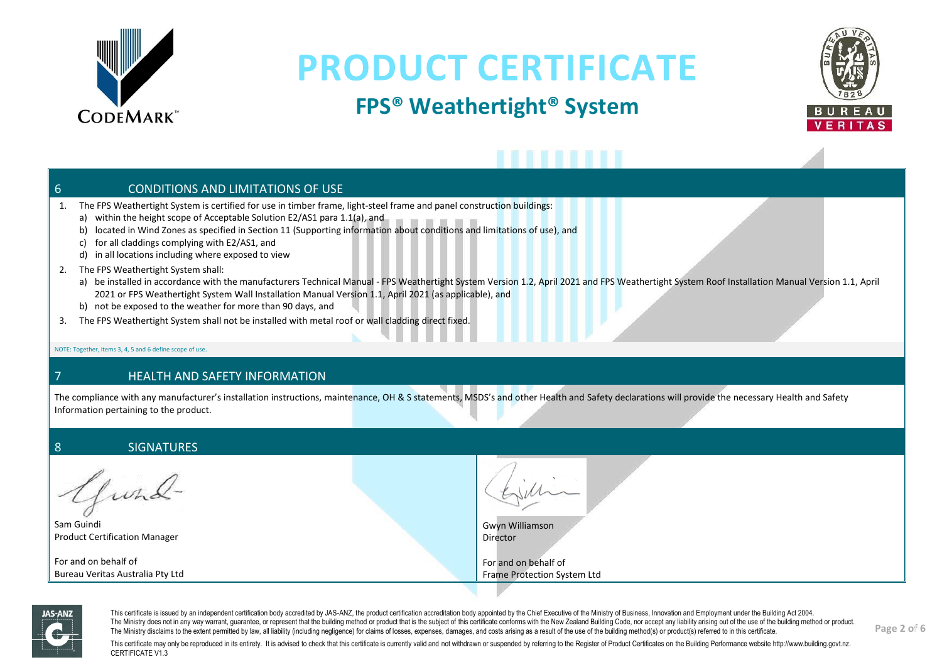

## **FPS® Weathertight® System**



### 6 CONDITIONS AND LIMITATIONS OF USE

- 1. The FPS Weathertight System is certified for use in timber frame, light-steel frame and panel construction buildings:
	- a) within the height scope of Acceptable Solution E2/AS1 para 1.1(a), and
	- b) located in Wind Zones as specified in Section 11 (Supporting information about conditions and limitations of use), and
	- c) for all claddings complying with E2/AS1, and
	- d) in all locations including where exposed to view
- 2. The FPS Weathertight System shall:
	- a) be installed in accordance with the manufacturers Technical Manual FPS Weathertight System Version 1.2, April 2021 and FPS Weathertight System Roof Installation Manual Version 1.1, April 2021 or FPS Weathertight System Wall Installation Manual Version 1.1, April 2021 (as applicable), and
	- b) not be exposed to the weather for more than 90 days, and
- 3. The FPS Weathertight System shall not be installed with metal roof or wall cladding direct fixed.

NOTE: Together, items 3, 4, 5 and 6 define scope of use.

#### 7 HEALTH AND SAFETY INFORMATION

The compliance with any manufacturer's installation instructions, maintenance, OH & S statements, MSDS's and other Health and Safety declarations will provide the necessary Health and Safety Information pertaining to the product.

#### 8 SIGNATURES

lund-

Sam Guindi Product Certification Manager

For and on behalf of Bureau Veritas Australia Pty Ltd

Gwyn Williamson Director

For and on behalf of Frame Protection System Ltd



This certificate is issued by an independent certification body accredited by JAS-ANZ, the product certification accreditation body appointed by the Chief Executive of the Ministry of Business, Innovation and Employment un The Ministry does not in any way warrant, quarantee, or represent that the building method or product that is the subject of this certificate conforms with the New Zealand Building Code, nor accept any liability arising ou The Ministry disclaims to the extent permitted by law, all liability (including negligence) for claims of losses, expenses, damages, and costs arising as a result of the use of the building method(s) or product(s) referred

**Page 2 of 6**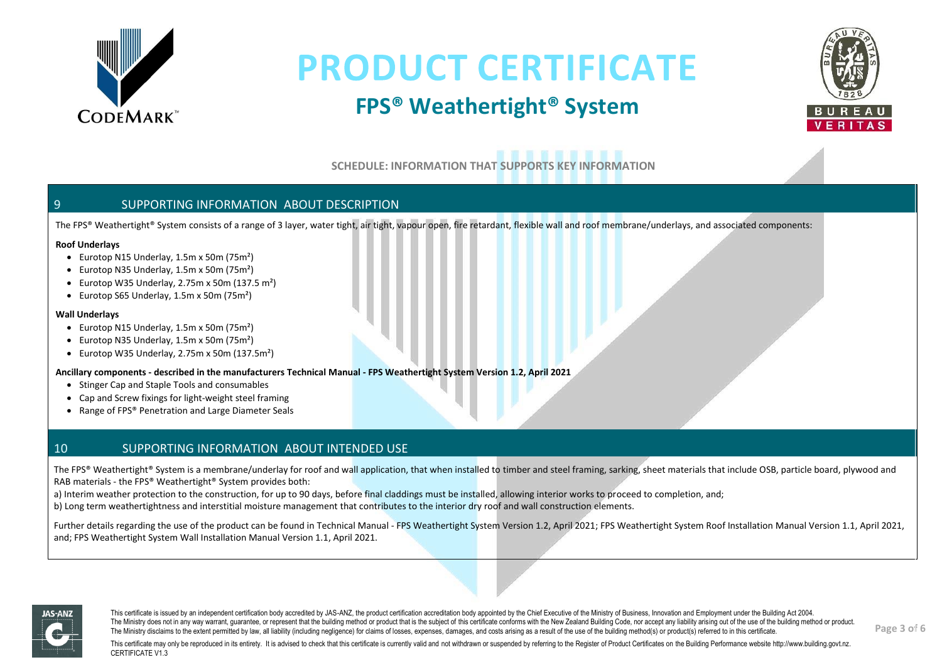

### **FPS® Weathertight® System**



**SCHEDULE: INFORMATION THAT SUPPORTS KEY INFORMATION**

#### 9 SUPPORTING INFORMATION ABOUT DESCRIPTION

The FPS® Weathertight® System consists of a range of 3 layer, water tight, air tight, vapour open, fire retardant, flexible wall and roof membrane/underlays, and associated components:

#### **Roof Underlays**

- Eurotop N15 Underlay, 1.5m x 50m (75m²)
- Eurotop N35 Underlay, 1.5m x 50m (75m²)
- Eurotop W35 Underlay, 2.75m x 50m (137.5 m²)
- Eurotop S65 Underlay, 1.5m x 50m (75m²)

#### **Wall Underlays**

- Eurotop N15 Underlay, 1.5m x 50m (75m²)
- Eurotop N35 Underlay, 1.5m x 50m (75m²)
- Eurotop W35 Underlay, 2.75m x 50m (137.5m²)

#### **Ancillary components - described in the manufacturers Technical Manual - FPS Weathertight System Version 1.2, April 2021**

- Stinger Cap and Staple Tools and consumables
- Cap and Screw fixings for light-weight steel framing
- Range of FPS® Penetration and Large Diameter Seals

#### 10 SUPPORTING INFORMATION ABOUT INTENDED USE

The FPS® Weathertight® System is a membrane/underlay for roof and wall application, that when installed to timber and steel framing, sarking, sheet materials that include OSB, particle board, plywood and RAB materials - the FPS® Weathertight® System provides both:

a) Interim weather protection to the construction, for up to 90 days, before final claddings must be installed, allowing interior works to proceed to completion, and;

b) Long term weathertightness and interstitial moisture management that contributes to the interior dry roof and wall construction elements.

Further details regarding the use of the product can be found in Technical Manual - FPS Weathertight System Version 1.2, April 2021; FPS Weathertight System Roof Installation Manual Version 1.1, April 2021, and; FPS Weathertight System Wall Installation Manual Version 1.1, April 2021.



This certificate is issued by an independent certification body accredited by JAS-ANZ, the product certification accreditation body appointed by the Chief Executive of the Ministry of Business, Innovation and Employment un The Ministry does not in any way warrant, quarantee, or represent that the building method or product that is the subject of this certificate conforms with the New Zealand Building Code, nor accept any liability arising ou The Ministry disclaims to the extent permitted by law, all liability (including negligence) for claims of losses, expenses, damages, and costs arising as a result of the use of the building method(s) or product(s) referred

**Page 3 of 6**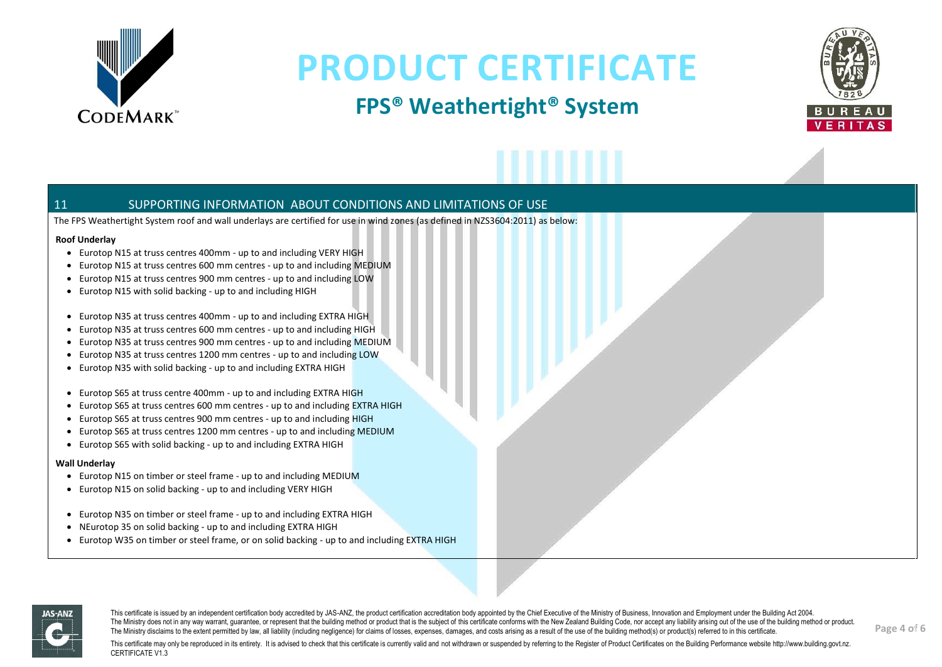

### **FPS® Weathertight® System**



#### 11 SUPPORTING INFORMATION ABOUT CONDITIONS AND LIMITATIONS OF USE

The FPS Weathertight System roof and wall underlays are certified for use in wind zones (as defined in NZS3604:2011) as below:

#### **Roof Underlay**

- Eurotop N15 at truss centres 400mm up to and including VERY HIGH
- Eurotop N15 at truss centres 600 mm centres up to and including MEDIUM
- Eurotop N15 at truss centres 900 mm centres up to and including LOW
- Eurotop N15 with solid backing up to and including HIGH
- Eurotop N35 at truss centres 400mm up to and including EXTRA HIGH
- Eurotop N35 at truss centres 600 mm centres up to and including HIGH
- Eurotop N35 at truss centres 900 mm centres up to and including MEDIUM
- Eurotop N35 at truss centres 1200 mm centres up to and including LOW
- Eurotop N35 with solid backing up to and including EXTRA HIGH
- Eurotop S65 at truss centre 400mm up to and including EXTRA HIGH
- Eurotop S65 at truss centres 600 mm centres up to and including EXTRA HIGH
- Eurotop S65 at truss centres 900 mm centres up to and including HIGH
- Eurotop S65 at truss centres 1200 mm centres up to and including MEDIUM
- Eurotop S65 with solid backing up to and including EXTRA HIGH

#### **Wall Underlay**

- Eurotop N15 on timber or steel frame up to and including MEDIUM
- Eurotop N15 on solid backing up to and including VERY HIGH
- Eurotop N35 on timber or steel frame up to and including EXTRA HIGH
- NEurotop 35 on solid backing up to and including EXTRA HIGH
- Eurotop W35 on timber or steel frame, or on solid backing up to and including EXTRA HIGH



This certificate is issued by an independent certification body accredited by JAS-ANZ, the product certification accreditation body appointed by the Chief Executive of the Ministry of Business, Innovation and Employment un The Ministry does not in any way warrant, quarantee, or represent that the building method or product that is the subject of this certificate conforms with the New Zealand Building Code, nor accept any liability arising ou The Ministry disclaims to the extent permitted by law, all liability (including negligence) for claims of losses, expenses, damages, and costs arising as a result of the use of the building method(s) or product(s) referred

**Page 4 of 6**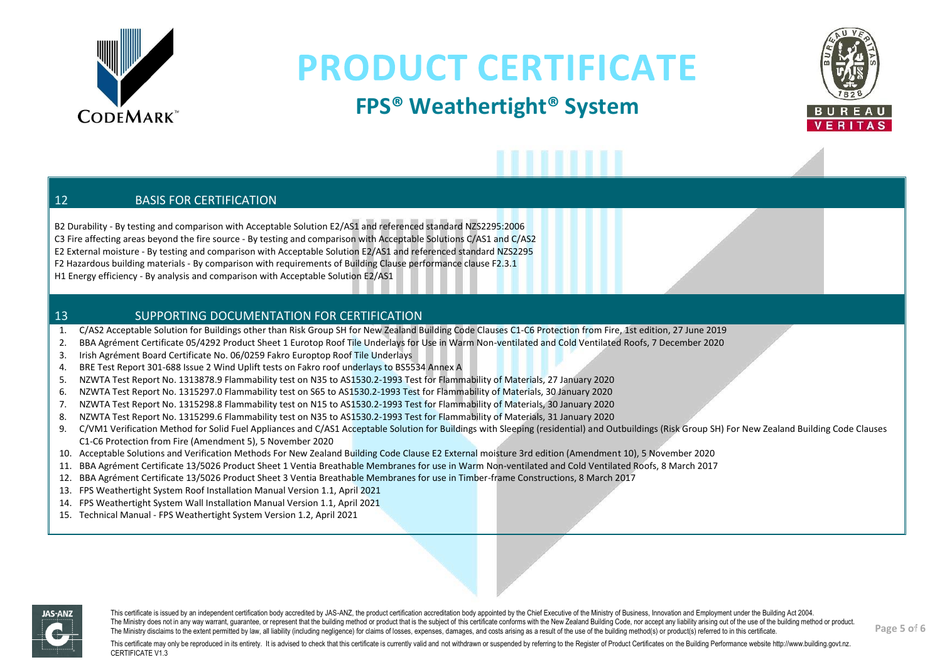

### **FPS® Weathertight® System**



#### 12 BASIS FOR CERTIFICATION

B2 Durability - By testing and comparison with Acceptable Solution E2/AS1 and referenced standard NZS2295:2006 C3 Fire affecting areas beyond the fire source - By testing and comparison with Acceptable Solutions C/AS1 and C/AS2 E2 External moisture - By testing and comparison with Acceptable Solution E2/AS1 and referenced standard NZS2295 F2 Hazardous building materials - By comparison with requirements of Building Clause performance clause F2.3.1 H1 Energy efficiency - By analysis and comparison with Acceptable Solution E2/AS1

#### 13 SUPPORTING DOCUMENTATION FOR CERTIFICATION

- 1. C/AS2 Acceptable Solution for Buildings other than Risk Group SH for New Zealand Building Code Clauses C1-C6 Protection from Fire, 1st edition, 27 June 2019
- 2. BBA Agrément Certificate 05/4292 Product Sheet 1 Eurotop Roof Tile Underlays for Use in Warm Non-ventilated and Cold Ventilated Roofs, 7 December 2020
- 3. Irish Agrément Board Certificate No. 06/0259 Fakro Europtop Roof Tile Underlays
- 4. BRE Test Report 301-688 Issue 2 Wind Uplift tests on Fakro roof underlays to BS5534 Annex A
- 5. NZWTA Test Report No. 1313878.9 Flammability test on N35 to AS1530.2-1993 Test for Flammability of Materials, 27 January 2020
- 6. NZWTA Test Report No. 1315297.0 Flammability test on S65 to AS1530.2-1993 Test for Flammability of Materials, 30 January 2020
- 7. NZWTA Test Report No. 1315298.8 Flammability test on N15 to AS1530.2-1993 Test for Flammability of Materials, 30 January 2020
- 8. NZWTA Test Report No. 1315299.6 Flammability test on N35 to AS1530.2-1993 Test for Flammability of Materials, 31 January 2020
- 9. C/VM1 Verification Method for Solid Fuel Appliances and C/AS1 Acceptable Solution for Buildings with Sleeping (residential) and Outbuildings (Risk Group SH) For New Zealand Building Code Clauses C1-C6 Protection from Fire (Amendment 5), 5 November 2020
- 10. Acceptable Solutions and Verification Methods For New Zealand Building Code Clause E2 External moisture 3rd edition (Amendment 10), 5 November 2020
- 11. BBA Agrément Certificate 13/5026 Product Sheet 1 Ventia Breathable Membranes for use in Warm Non-ventilated and Cold Ventilated Roofs, 8 March 2017
- 12. BBA Agrément Certificate 13/5026 Product Sheet 3 Ventia Breathable Membranes for use in Timber-frame Constructions, 8 March 2017
- 13. FPS Weathertight System Roof Installation Manual Version 1.1, April 2021
- 14. FPS Weathertight System Wall Installation Manual Version 1.1, April 2021
- 15. Technical Manual FPS Weathertight System Version 1.2, April 2021



This certificate is issued by an independent certification body accredited by JAS-ANZ, the product certification accreditation body appointed by the Chief Executive of the Ministry of Business, Innovation and Employment un The Ministry does not in any way warrant, quarantee, or represent that the building method or product that is the subject of this certificate conforms with the New Zealand Building Code, nor accept any liability arising ou The Ministry disclaims to the extent permitted by law, all liability (including negligence) for claims of losses, expenses, damages, and costs arising as a result of the use of the building method(s) or product(s) referred

**Page 5 of 6**